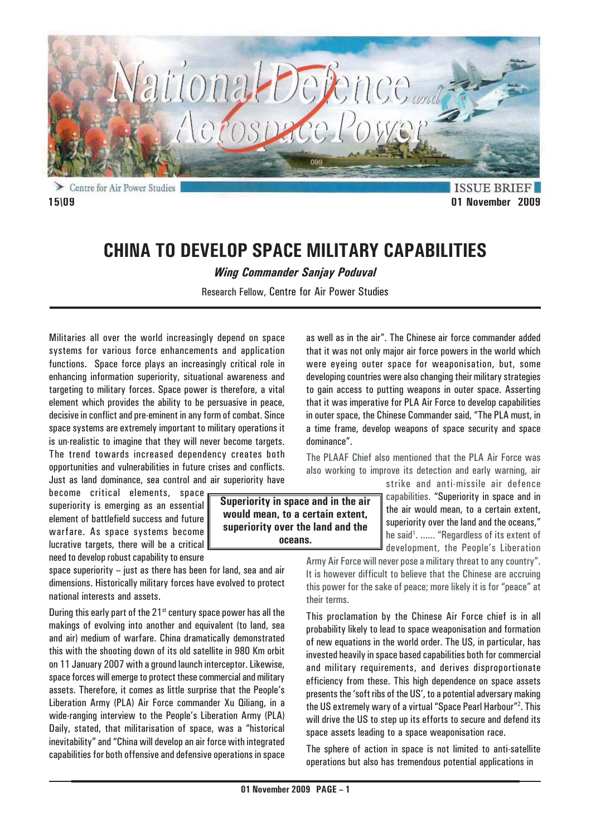

Centre for Air Power Studies **15\09 01 November 2009**

**ISSUE BRIEF** 

# **CHINA TO DEVELOP SPACE MILITARY CAPABILITIES**

*Wing Commander Sanjay Poduval*

Research Fellow, Centre for Air Power Studies

Militaries all over the world increasingly depend on space systems for various force enhancements and application functions. Space force plays an increasingly critical role in enhancing information superiority, situational awareness and targeting to military forces. Space power is therefore, a vital element which provides the ability to be persuasive in peace, decisive in conflict and pre-eminent in any form of combat. Since space systems are extremely important to military operations it is un-realistic to imagine that they will never become targets. The trend towards increased dependency creates both opportunities and vulnerabilities in future crises and conflicts. Just as land dominance, sea control and air superiority have

become critical elements, space superiority is emerging as an essential element of battlefield success and future warfare. As space systems become lucrative targets, there will be a critical need to develop robust capability to ensure

space superiority – just as there has been for land, sea and air dimensions. Historically military forces have evolved to protect national interests and assets.

During this early part of the  $21<sup>st</sup>$  century space power has all the makings of evolving into another and equivalent (to land, sea and air) medium of warfare. China dramatically demonstrated this with the shooting down of its old satellite in 980 Km orbit on 11 January 2007 with a ground launch interceptor. Likewise, space forces will emerge to protect these commercial and military assets. Therefore, it comes as little surprise that the People's Liberation Army (PLA) Air Force commander Xu Qiliang, in a wide-ranging interview to the People's Liberation Army (PLA) Daily, stated, that militarisation of space, was a "historical inevitability" and "China will develop an air force with integrated capabilities for both offensive and defensive operations in space

**Superiority in space and in the air would mean, to a certain extent, superiority over the land and the oceans.**

as well as in the air". The Chinese air force commander added that it was not only major air force powers in the world which were eyeing outer space for weaponisation, but, some developing countries were also changing their military strategies to gain access to putting weapons in outer space. Asserting that it was imperative for PLA Air Force to develop capabilities in outer space, the Chinese Commander said, "The PLA must, in a time frame, develop weapons of space security and space dominance".

The PLAAF Chief also mentioned that the PLA Air Force was also working to improve its detection and early warning, air

strike and anti-missile air defence capabilities. "Superiority in space and in the air would mean, to a certain extent, superiority over the land and the oceans," he said<sup>1</sup>. ...... "Regardless of its extent of development, the People's Liberation

Army Air Force will never pose a military threat to any country". It is however difficult to believe that the Chinese are accruing this power for the sake of peace; more likely it is for "peace" at their terms.

This proclamation by the Chinese Air Force chief is in all probability likely to lead to space weaponisation and formation of new equations in the world order. The US, in particular, has invested heavily in space based capabilities both for commercial and military requirements, and derives disproportionate efficiency from these. This high dependence on space assets presents the 'soft ribs of the US', to a potential adversary making the US extremely wary of a virtual "Space Pearl Harbour"2 . This will drive the US to step up its efforts to secure and defend its space assets leading to a space weaponisation race.

The sphere of action in space is not limited to anti-satellite operations but also has tremendous potential applications in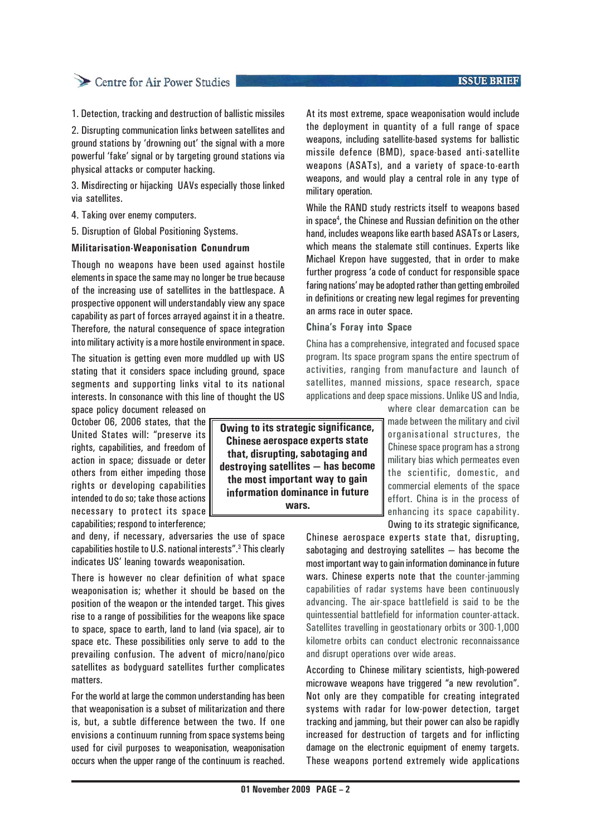# Centre for Air Power Studies

1. Detection, tracking and destruction of ballistic missiles

2. Disrupting communication links between satellites and ground stations by 'drowning out' the signal with a more powerful 'fake' signal or by targeting ground stations via physical attacks or computer hacking.

3. Misdirecting or hijacking UAVs especially those linked via satellites.

4. Taking over enemy computers.

5. Disruption of Global Positioning Systems.

#### **Militarisation-Weaponisation Conundrum**

Though no weapons have been used against hostile elements in space the same may no longer be true because of the increasing use of satellites in the battlespace. A prospective opponent will understandably view any space capability as part of forces arrayed against it in a theatre. Therefore, the natural consequence of space integration into military activity is a more hostile environment in space.

The situation is getting even more muddled up with US stating that it considers space including ground, space segments and supporting links vital to its national interests. In consonance with this line of thought the US space policy document released on

October 06, 2006 states, that the United States will: "preserve its rights, capabilities, and freedom of action in space; dissuade or deter others from either impeding those rights or developing capabilities intended to do so; take those actions necessary to protect its space capabilities; respond to interference;

and deny, if necessary, adversaries the use of space capabilities hostile to U.S. national interests".<sup>3</sup> This clearly indicates US' leaning towards weaponisation.

There is however no clear definition of what space weaponisation is; whether it should be based on the position of the weapon or the intended target. This gives rise to a range of possibilities for the weapons like space to space, space to earth, land to land (via space), air to space etc. These possibilities only serve to add to the prevailing confusion. The advent of micro/nano/pico satellites as bodyguard satellites further complicates matters.

For the world at large the common understanding has been that weaponisation is a subset of militarization and there is, but, a subtle difference between the two. If one envisions a continuum running from space systems being used for civil purposes to weaponisation, weaponisation occurs when the upper range of the continuum is reached.

**Owing to its strategic significance, Chinese aerospace experts state that, disrupting, sabotaging and destroying satellites — has become the most important way to gain information dominance in future wars.**

At its most extreme, space weaponisation would include the deployment in quantity of a full range of space weapons, including satellite-based systems for ballistic missile defence (BMD), space-based anti-satellite weapons (ASATs), and a variety of space-to-earth weapons, and would play a central role in any type of military operation.

While the RAND study restricts itself to weapons based in space4 , the Chinese and Russian definition on the other hand, includes weapons like earth based ASATs or Lasers, which means the stalemate still continues. Experts like Michael Krepon have suggested, that in order to make further progress 'a code of conduct for responsible space faring nations' may be adopted rather than getting embroiled in definitions or creating new legal regimes for preventing an arms race in outer space.

#### **China's Foray into Space**

China has a comprehensive, integrated and focused space program. Its space program spans the entire spectrum of activities, ranging from manufacture and launch of satellites, manned missions, space research, space applications and deep space missions. Unlike US and India,

where clear demarcation can be made between the military and civil organisational structures, the Chinese space program has a strong military bias which permeates even the scientific, domestic, and commercial elements of the space effort. China is in the process of enhancing its space capability. Owing to its strategic significance,

Chinese aerospace experts state that, disrupting, sabotaging and destroying satellites — has become the most important way to gain information dominance in future wars. Chinese experts note that the counter-jamming capabilities of radar systems have been continuously advancing. The air-space battlefield is said to be the quintessential battlefield for information counter-attack. Satellites travelling in geostationary orbits or 300-1,000 kilometre orbits can conduct electronic reconnaissance and disrupt operations over wide areas.

According to Chinese military scientists, high-powered microwave weapons have triggered "a new revolution". Not only are they compatible for creating integrated systems with radar for low-power detection, target tracking and jamming, but their power can also be rapidly increased for destruction of targets and for inflicting damage on the electronic equipment of enemy targets. These weapons portend extremely wide applications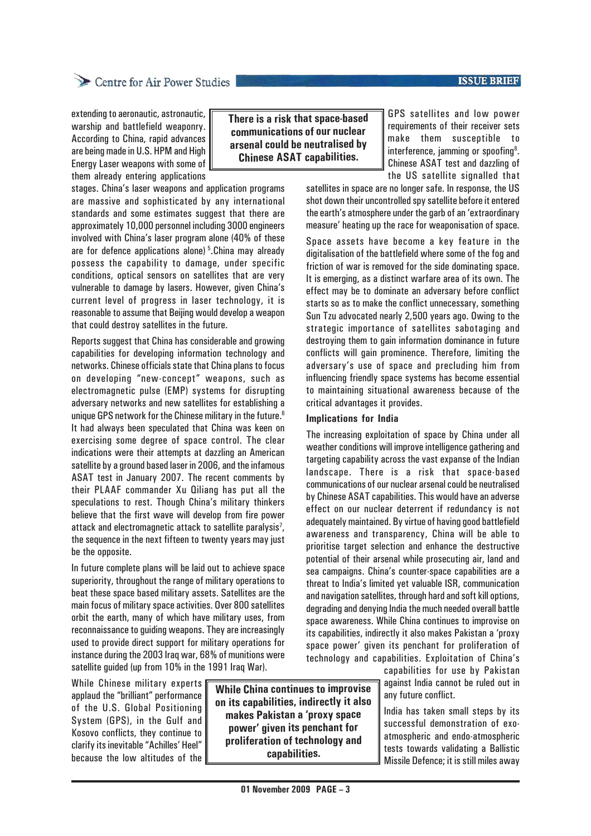#### **ISSUE BRIEF**

## Centre for Air Power Studies

extending to aeronautic, astronautic, warship and battlefield weaponry. According to China, rapid advances are being made in U.S. HPM and High Energy Laser weapons with some of them already entering applications

stages. China's laser weapons and application programs are massive and sophisticated by any international standards and some estimates suggest that there are approximately 10,000 personnel including 3000 engineers involved with China's laser program alone (40% of these are for defence applications alone) 5.China may already possess the capability to damage, under specific conditions, optical sensors on satellites that are very vulnerable to damage by lasers. However, given China's current level of progress in laser technology, it is reasonable to assume that Beijing would develop a weapon that could destroy satellites in the future.

Reports suggest that China has considerable and growing capabilities for developing information technology and networks. Chinese officials state that China plans to focus on developing "new-concept" weapons, such as electromagnetic pulse (EMP) systems for disrupting adversary networks and new satellites for establishing a unique GPS network for the Chinese military in the future.<sup>6</sup> It had always been speculated that China was keen on exercising some degree of space control. The clear indications were their attempts at dazzling an American satellite by a ground based laser in 2006, and the infamous ASAT test in January 2007. The recent comments by their PLAAF commander Xu Qiliang has put all the speculations to rest. Though China's military thinkers believe that the first wave will develop from fire power attack and electromagnetic attack to satellite paralysis<sup>7</sup>, the sequence in the next fifteen to twenty years may just be the opposite.

In future complete plans will be laid out to achieve space superiority, throughout the range of military operations to beat these space based military assets. Satellites are the main focus of military space activities. Over 800 satellites orbit the earth, many of which have military uses, from reconnaissance to guiding weapons. They are increasingly used to provide direct support for military operations for instance during the 2003 Iraq war, 68% of munitions were satellite guided (up from 10% in the 1991 Iraq War).

While Chinese military experts applaud the "brilliant" performance of the U.S. Global Positioning System (GPS), in the Gulf and Kosovo conflicts, they continue to clarify its inevitable "Achilles' Heel" because the low altitudes of the

**While China continues to improvise on its capabilities, indirectly it also makes Pakistan a 'proxy space power' given its penchant for proliferation of technology and capabilities.**

GPS satellites and low power requirements of their receiver sets make them susceptible to interference, jamming or spoofing<sup>8</sup>. Chinese ASAT test and dazzling of the US satellite signalled that

satellites in space are no longer safe. In response, the US shot down their uncontrolled spy satellite before it entered the earth's atmosphere under the garb of an 'extraordinary measure' heating up the race for weaponisation of space.

Space assets have become a key feature in the digitalisation of the battlefield where some of the fog and friction of war is removed for the side dominating space. It is emerging, as a distinct warfare area of its own. The effect may be to dominate an adversary before conflict starts so as to make the conflict unnecessary, something Sun Tzu advocated nearly 2,500 years ago. Owing to the strategic importance of satellites sabotaging and destroying them to gain information dominance in future conflicts will gain prominence. Therefore, limiting the adversary's use of space and precluding him from influencing friendly space systems has become essential to maintaining situational awareness because of the critical advantages it provides.

#### **Implications for India**

**There is a risk that space-based communications of our nuclear arsenal could be neutralised by Chinese ASAT capabilities.**

> The increasing exploitation of space by China under all weather conditions will improve intelligence gathering and targeting capability across the vast expanse of the Indian landscape. There is a risk that space-based communications of our nuclear arsenal could be neutralised by Chinese ASAT capabilities. This would have an adverse effect on our nuclear deterrent if redundancy is not adequately maintained. By virtue of having good battlefield awareness and transparency, China will be able to prioritise target selection and enhance the destructive potential of their arsenal while prosecuting air, land and sea campaigns. China's counter-space capabilities are a threat to India's limited yet valuable ISR, communication and navigation satellites, through hard and soft kill options, degrading and denying India the much needed overall battle space awareness. While China continues to improvise on its capabilities, indirectly it also makes Pakistan a 'proxy space power' given its penchant for proliferation of technology and capabilities. Exploitation of China's

> > capabilities for use by Pakistan against India cannot be ruled out in any future conflict.

> > India has taken small steps by its successful demonstration of exoatmospheric and endo-atmospheric tests towards validating a Ballistic Missile Defence; it is still miles away